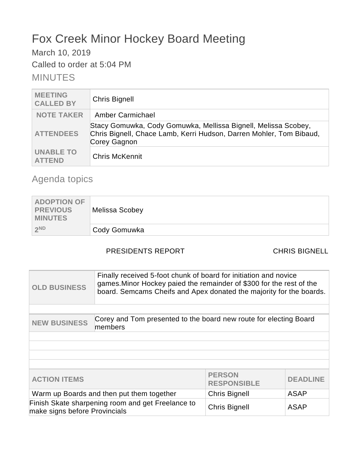# Fox Creek Minor Hockey Board Meeting

March 10, 2019

Called to order at 5:04 PM

MINUTES

| <b>MEETING</b><br><b>CALLED BY</b> | <b>Chris Bignell</b>                                                                                                                                  |
|------------------------------------|-------------------------------------------------------------------------------------------------------------------------------------------------------|
| <b>NOTE TAKER</b>                  | Amber Carmichael                                                                                                                                      |
| <b>ATTENDEES</b>                   | Stacy Gomuwka, Cody Gomuwka, Mellissa Bignell, Melissa Scobey,<br>Chris Bignell, Chace Lamb, Kerri Hudson, Darren Mohler, Tom Bibaud,<br>Corey Gagnon |
| <b>UNABLE TO</b><br><b>ATTEND</b>  | <b>Chris McKennit</b>                                                                                                                                 |

## Agenda topics

| <b>ADOPTION OF</b><br><b>PREVIOUS</b><br><b>MINUTES</b> | Melissa Scobey |
|---------------------------------------------------------|----------------|
| 2ND                                                     | Cody Gomuwka   |

### PRESIDENTS REPORT CHRIS BIGNELL

| <b>OLD BUSINESS</b>                                                                | Finally received 5-foot chunk of board for initiation and novice<br>games. Minor Hockey paied the remainder of \$300 for the rest of the<br>board. Semcams Cheifs and Apex donated the majority for the boards. |                                     |                 |
|------------------------------------------------------------------------------------|-----------------------------------------------------------------------------------------------------------------------------------------------------------------------------------------------------------------|-------------------------------------|-----------------|
|                                                                                    |                                                                                                                                                                                                                 |                                     |                 |
| <b>NEW BUSINESS</b>                                                                | Corey and Tom presented to the board new route for electing Board<br>members                                                                                                                                    |                                     |                 |
|                                                                                    |                                                                                                                                                                                                                 |                                     |                 |
|                                                                                    |                                                                                                                                                                                                                 |                                     |                 |
|                                                                                    |                                                                                                                                                                                                                 |                                     |                 |
|                                                                                    |                                                                                                                                                                                                                 |                                     |                 |
| <b>ACTION ITEMS</b>                                                                |                                                                                                                                                                                                                 | <b>PERSON</b><br><b>RESPONSIBLE</b> | <b>DEADLINE</b> |
| Warm up Boards and then put them together<br><b>Chris Bignell</b>                  |                                                                                                                                                                                                                 | <b>ASAP</b>                         |                 |
| Finish Skate sharpening room and get Freelance to<br>make signs before Provincials |                                                                                                                                                                                                                 | <b>Chris Bignell</b>                | <b>ASAP</b>     |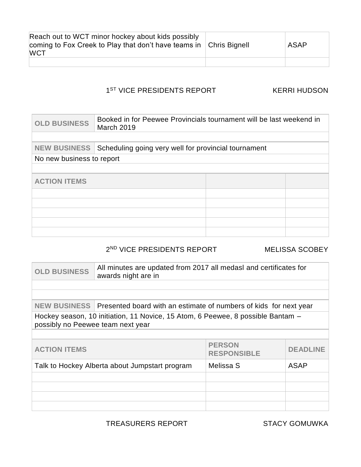| Reach out to WCT minor hockey about kids possibly<br>coming to Fox Creek to Play that don't have teams in $\vert$ Chris Bignell<br><b>WCT</b> | <b>ASAP</b> |
|-----------------------------------------------------------------------------------------------------------------------------------------------|-------------|
|                                                                                                                                               |             |

#### 1<sup>ST</sup> VICE PRESIDENTS REPORT KERRI HUDSON

| Booked in for Peewee Provincials tournament will be last weekend in<br><b>March 2019</b> |  |                                                      |
|------------------------------------------------------------------------------------------|--|------------------------------------------------------|
|                                                                                          |  |                                                      |
|                                                                                          |  |                                                      |
| No new business to report                                                                |  |                                                      |
|                                                                                          |  |                                                      |
|                                                                                          |  |                                                      |
|                                                                                          |  |                                                      |
|                                                                                          |  |                                                      |
|                                                                                          |  |                                                      |
|                                                                                          |  |                                                      |
|                                                                                          |  |                                                      |
|                                                                                          |  | Scheduling going very well for provincial tournament |

#### 2 ND VICE PRESIDENTS REPORT MELISSA SCOBEY

| <b>OLD BUSINESS</b>                                                                                                  | All minutes are updated from 2017 all medasl and certificates for<br>awards night are in |                                     |                 |
|----------------------------------------------------------------------------------------------------------------------|------------------------------------------------------------------------------------------|-------------------------------------|-----------------|
|                                                                                                                      |                                                                                          |                                     |                 |
|                                                                                                                      |                                                                                          |                                     |                 |
| <b>NEW BUSINESS</b>                                                                                                  | Presented board with an estimate of numbers of kids for next year                        |                                     |                 |
| Hockey season, 10 initiation, 11 Novice, 15 Atom, 6 Peewee, 8 possible Bantam -<br>possibly no Peewee team next year |                                                                                          |                                     |                 |
|                                                                                                                      |                                                                                          |                                     |                 |
| <b>ACTION ITEMS</b>                                                                                                  |                                                                                          | <b>PERSON</b><br><b>RESPONSIBLE</b> | <b>DEADLINE</b> |
| Talk to Hockey Alberta about Jumpstart program                                                                       |                                                                                          | Melissa S                           | <b>ASAP</b>     |
|                                                                                                                      |                                                                                          |                                     |                 |
|                                                                                                                      |                                                                                          |                                     |                 |
|                                                                                                                      |                                                                                          |                                     |                 |
|                                                                                                                      |                                                                                          |                                     |                 |

TREASURERS REPORT STACY GOMUWKA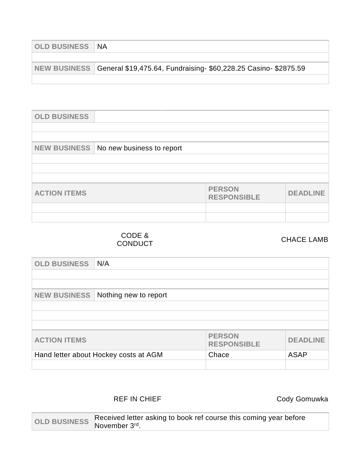| <b>OLD BUSINESS NA</b> |                                                                              |
|------------------------|------------------------------------------------------------------------------|
|                        |                                                                              |
|                        | NEW BUSINESS General \$19,475.64, Fundraising- \$60,228.25 Casino- \$2875.59 |
|                        |                                                                              |

| <b>OLD BUSINESS</b> |                           |                                     |                 |
|---------------------|---------------------------|-------------------------------------|-----------------|
|                     |                           |                                     |                 |
|                     |                           |                                     |                 |
| <b>NEW BUSINESS</b> | No new business to report |                                     |                 |
|                     |                           |                                     |                 |
|                     |                           |                                     |                 |
|                     |                           |                                     |                 |
| <b>ACTION ITEMS</b> |                           | <b>PERSON</b><br><b>RESPONSIBLE</b> | <b>DEADLINE</b> |
|                     |                           |                                     |                 |
|                     |                           |                                     |                 |

CODE & CODE &<br>CONDUCT CONDUCT

| <b>OLD BUSINESS</b>                            | N/A                   |                                     |                 |
|------------------------------------------------|-----------------------|-------------------------------------|-----------------|
|                                                |                       |                                     |                 |
|                                                |                       |                                     |                 |
| <b>NEW BUSINESS</b>                            | Nothing new to report |                                     |                 |
|                                                |                       |                                     |                 |
|                                                |                       |                                     |                 |
|                                                |                       |                                     |                 |
| <b>ACTION ITEMS</b>                            |                       | <b>PERSON</b><br><b>RESPONSIBLE</b> | <b>DEADLINE</b> |
| Hand letter about Hockey costs at AGM<br>Chace |                       | <b>ASAP</b>                         |                 |
|                                                |                       |                                     |                 |

### REF IN CHIEF **CODY** Gody Gomuwka

OLD BUSINESS Received letter asking to book ref course this coming year before November 3<sup>rd</sup>.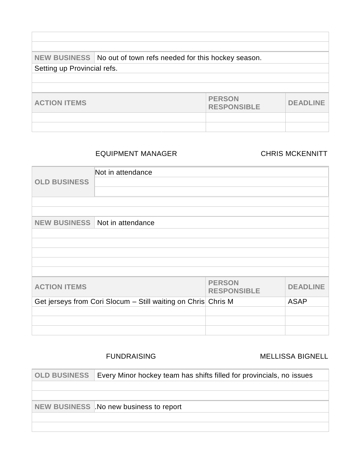|                             | NEW BUSINESS   No out of town refs needed for this hockey season. |                                     |                 |
|-----------------------------|-------------------------------------------------------------------|-------------------------------------|-----------------|
| Setting up Provincial refs. |                                                                   |                                     |                 |
|                             |                                                                   |                                     |                 |
|                             |                                                                   |                                     |                 |
| <b>ACTION ITEMS</b>         |                                                                   | <b>PERSON</b><br><b>RESPONSIBLE</b> | <b>DEADLINE</b> |
|                             |                                                                   |                                     |                 |
|                             |                                                                   |                                     |                 |

#### EQUIPMENT MANAGER CHRIS MCKENNITT

| <b>OLD BUSINESS</b> | Not in attendance                                             |                                     |                 |
|---------------------|---------------------------------------------------------------|-------------------------------------|-----------------|
|                     |                                                               |                                     |                 |
| <b>NEW BUSINESS</b> | Not in attendance                                             |                                     |                 |
|                     |                                                               |                                     |                 |
|                     |                                                               |                                     |                 |
|                     |                                                               |                                     |                 |
| <b>ACTION ITEMS</b> |                                                               | <b>PERSON</b><br><b>RESPONSIBLE</b> | <b>DEADLINE</b> |
|                     | Get jerseys from Cori Slocum - Still waiting on Chris Chris M |                                     | <b>ASAP</b>     |
|                     |                                                               |                                     |                 |
|                     |                                                               |                                     |                 |
|                     |                                                               |                                     |                 |

#### FUNDRAISING MELLISSA BIGNELL

| <b>OLD BUSINESS</b> | Every Minor hockey team has shifts filled for provincials, no issues |
|---------------------|----------------------------------------------------------------------|
|                     |                                                                      |
|                     |                                                                      |
|                     | NEW BUSINESS No new business to report                               |
|                     |                                                                      |
|                     |                                                                      |